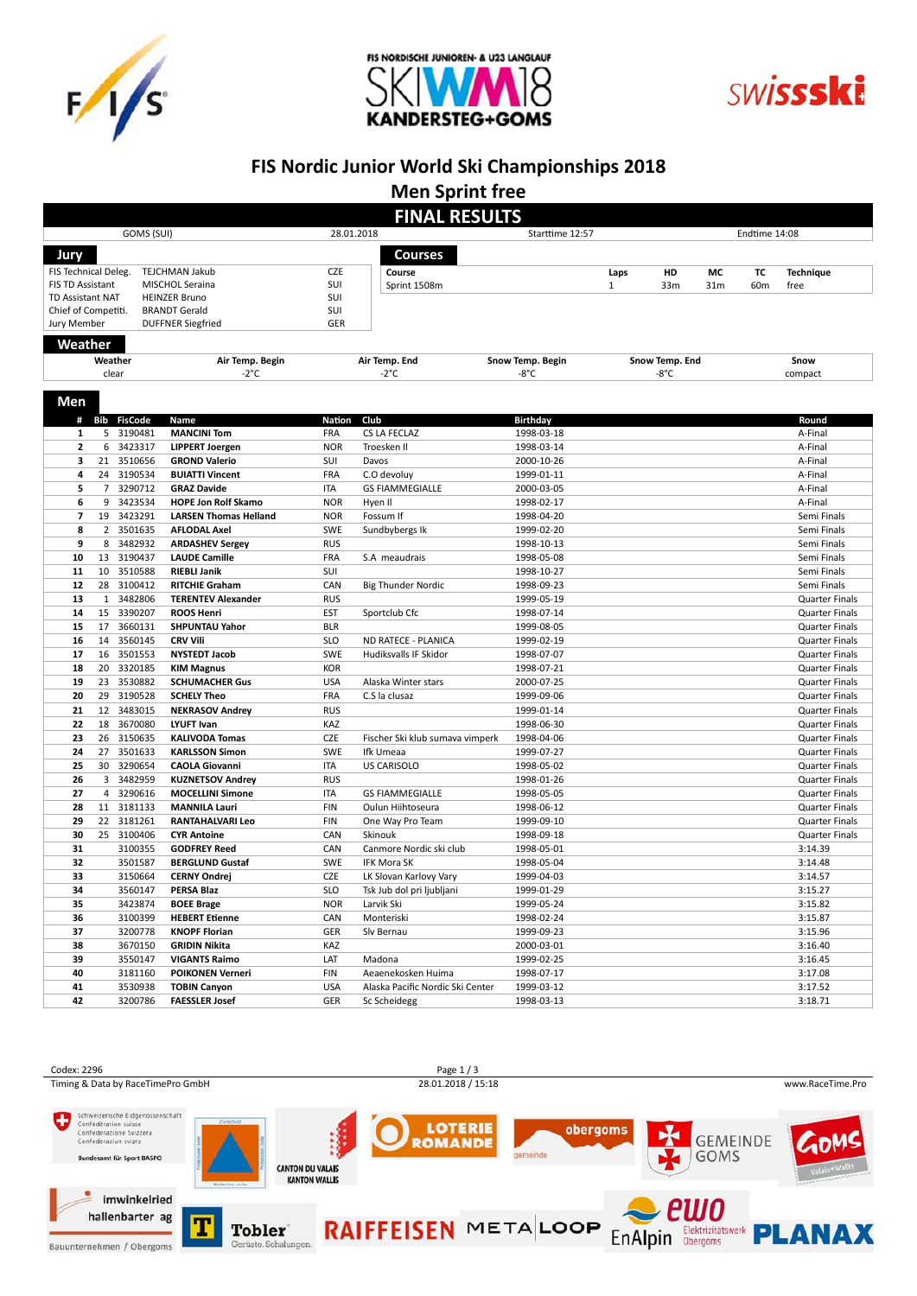





### **FIS Nordic Junior World Ski Championships 2018**

**Men Sprint free**

|                                                                                        |                |                                 |                                  |                               | <b>FINAL RESULTS</b>             |                                    |              |                                  |                 |                 |                                                |
|----------------------------------------------------------------------------------------|----------------|---------------------------------|----------------------------------|-------------------------------|----------------------------------|------------------------------------|--------------|----------------------------------|-----------------|-----------------|------------------------------------------------|
| GOMS (SUI)                                                                             |                |                                 |                                  | 28.01.2018<br>Starttime 12:57 |                                  |                                    |              | Endtime 14:08                    |                 |                 |                                                |
|                                                                                        |                |                                 |                                  |                               |                                  |                                    |              |                                  |                 |                 |                                                |
| Jury                                                                                   |                |                                 |                                  |                               | <b>Courses</b>                   |                                    |              |                                  |                 |                 |                                                |
| FIS Technical Deleg.                                                                   |                |                                 | <b>TEJCHMAN Jakub</b>            | <b>CZE</b>                    | Course                           |                                    | Laps         | HD                               | МC              | ТC              | <b>Technique</b>                               |
| <b>FIS TD Assistant</b><br>MISCHOL Seraina                                             |                |                                 |                                  | SUI<br>SUI                    | Sprint 1508m                     |                                    | $\mathbf{1}$ | 33 <sub>m</sub>                  | 31 <sub>m</sub> | 60 <sub>m</sub> | free                                           |
| <b>TD Assistant NAT</b><br><b>HEINZER Bruno</b>                                        |                |                                 |                                  | SUI                           |                                  |                                    |              |                                  |                 |                 |                                                |
| Chief of Competiti.<br><b>BRANDT Gerald</b><br>Jury Member<br><b>DUFFNER Siegfried</b> |                |                                 |                                  | GER                           |                                  |                                    |              |                                  |                 |                 |                                                |
|                                                                                        |                |                                 |                                  |                               |                                  |                                    |              |                                  |                 |                 |                                                |
| Weather                                                                                |                |                                 |                                  |                               |                                  |                                    |              |                                  |                 |                 |                                                |
|                                                                                        | Weather        | clear                           | Air Temp. Begin<br>$-2^{\circ}C$ |                               | Air Temp. End<br>-2°C            | Snow Temp. Begin<br>$-8^{\circ}$ C |              | Snow Temp. End<br>$-8^{\circ}$ C |                 |                 | Snow<br>compact                                |
|                                                                                        |                |                                 |                                  |                               |                                  |                                    |              |                                  |                 |                 |                                                |
| Men                                                                                    |                |                                 |                                  |                               |                                  |                                    |              |                                  |                 |                 |                                                |
|                                                                                        |                |                                 |                                  |                               |                                  |                                    |              |                                  |                 |                 |                                                |
| #<br>1                                                                                 |                | <b>Bib FisCode</b><br>5 3190481 | Name<br><b>MANCINI Tom</b>       | Nation<br>FRA                 | Club<br>CS LA FECLAZ             | <b>Birthday</b><br>1998-03-18      |              |                                  |                 |                 | Round<br>A-Final                               |
| $\overline{2}$                                                                         | 6              | 3423317                         | <b>LIPPERT Joergen</b>           | <b>NOR</b>                    | Troesken II                      | 1998-03-14                         |              |                                  |                 |                 | A-Final                                        |
| з                                                                                      |                | 21 3510656                      | <b>GROND Valerio</b>             | SUI                           | Davos                            | 2000-10-26                         |              |                                  |                 |                 | A-Final                                        |
| 4                                                                                      |                | 24 3190534                      | <b>BUIATTI Vincent</b>           | FRA                           | C.O devoluy                      |                                    |              |                                  |                 |                 | A-Final                                        |
| 5                                                                                      | $\overline{7}$ | 3290712                         | <b>GRAZ Davide</b>               | <b>ITA</b>                    | <b>GS FIAMMEGIALLE</b>           | 1999-01-11<br>2000-03-05           |              |                                  |                 |                 | A-Final                                        |
| 6                                                                                      | 9              | 3423534                         | <b>HOPE Jon Rolf Skamo</b>       | <b>NOR</b>                    | Hyen II                          | 1998-02-17                         |              |                                  |                 |                 | A-Final                                        |
| $\overline{7}$                                                                         |                | 19 3423291                      | <b>LARSEN Thomas Helland</b>     | <b>NOR</b>                    | Fossum If                        | 1998-04-20                         |              |                                  |                 |                 | Semi Finals                                    |
| 8                                                                                      |                | 2 3501635                       | <b>AFLODAL Axel</b>              | SWE                           | Sundbybergs Ik                   | 1999-02-20                         |              |                                  |                 |                 | Semi Finals                                    |
| 9                                                                                      | 8              | 3482932                         | <b>ARDASHEV Sergey</b>           | <b>RUS</b>                    |                                  | 1998-10-13                         |              |                                  |                 |                 | Semi Finals                                    |
| 10                                                                                     |                | 13 3190437                      | <b>LAUDE Camille</b>             | FRA                           | S.A meaudrais                    | 1998-05-08                         |              |                                  |                 |                 | Semi Finals                                    |
| 11                                                                                     |                | 10 3510588                      | <b>RIEBLI Janik</b>              | <b>SUI</b>                    |                                  | 1998-10-27                         |              |                                  |                 |                 | Semi Finals                                    |
| 12                                                                                     |                | 28 3100412                      | <b>RITCHIE Graham</b>            | CAN                           | <b>Big Thunder Nordic</b>        | 1998-09-23                         |              |                                  |                 |                 | Semi Finals                                    |
| 13                                                                                     | $\mathbf{1}$   | 3482806                         | <b>TERENTEV Alexander</b>        | <b>RUS</b>                    |                                  | 1999-05-19                         |              |                                  |                 |                 | Quarter Finals                                 |
| 14                                                                                     |                | 15 3390207                      | <b>ROOS Henri</b>                | <b>EST</b>                    | Sportclub Cfc                    | 1998-07-14                         |              |                                  |                 |                 |                                                |
| 15                                                                                     |                | 17 3660131                      | SHPUNTAU Yahor                   | <b>BLR</b>                    |                                  | 1999-08-05                         |              |                                  |                 |                 | <b>Quarter Finals</b><br>Quarter Finals        |
| 16                                                                                     | 14             | 3560145                         | <b>CRV Vili</b>                  | <b>SLO</b>                    | ND RATECE - PLANICA              | 1999-02-19                         |              |                                  |                 |                 | <b>Quarter Finals</b>                          |
| 17                                                                                     |                | 16 3501553                      | <b>NYSTEDT Jacob</b>             | SWE                           | Hudiksvalls IF Skidor            |                                    |              |                                  |                 |                 |                                                |
| 18                                                                                     |                | 20 3320185                      | <b>KIM Magnus</b>                | <b>KOR</b>                    |                                  | 1998-07-07<br>1998-07-21           |              |                                  |                 |                 | <b>Quarter Finals</b><br><b>Quarter Finals</b> |
| 19                                                                                     |                | 23 3530882                      | <b>SCHUMACHER Gus</b>            | <b>USA</b>                    | Alaska Winter stars              | 2000-07-25                         |              |                                  |                 |                 |                                                |
| 20                                                                                     | 29             | 3190528                         | <b>SCHELY Theo</b>               | FRA                           | C.S la clusaz                    | 1999-09-06                         |              |                                  |                 |                 | <b>Quarter Finals</b><br><b>Quarter Finals</b> |
| 21                                                                                     |                | 12 3483015                      | <b>NEKRASOV Andrey</b>           | <b>RUS</b>                    |                                  | 1999-01-14                         |              |                                  |                 |                 | Quarter Finals                                 |
| 22                                                                                     |                | 18 3670080                      | LYUFT Ivan                       | KAZ                           |                                  |                                    |              |                                  |                 |                 |                                                |
| 23                                                                                     | 26             | 3150635                         | <b>KALIVODA Tomas</b>            | <b>CZE</b>                    | Fischer Ski klub sumava vimperk  | 1998-06-30<br>1998-04-06           |              |                                  |                 |                 | Quarter Finals<br><b>Quarter Finals</b>        |
| 24                                                                                     | 27             | 3501633                         | <b>KARLSSON Simon</b>            | SWE                           | Ifk Umeaa                        | 1999-07-27                         |              |                                  |                 |                 | Quarter Finals                                 |
| 25                                                                                     |                | 30 3290654                      | <b>CAOLA Giovanni</b>            | <b>ITA</b>                    | US CARISOLO                      | 1998-05-02                         |              |                                  |                 |                 | <b>Quarter Finals</b>                          |
| 26                                                                                     |                | 3 3482959                       | <b>KUZNETSOV Andrey</b>          | <b>RUS</b>                    |                                  | 1998-01-26                         |              |                                  |                 |                 | Quarter Finals                                 |
| 27                                                                                     | $\overline{4}$ | 3290616                         | <b>MOCELLINI Simone</b>          | <b>ITA</b>                    | <b>GS FIAMMEGIALLE</b>           | 1998-05-05                         |              |                                  |                 |                 | Quarter Finals                                 |
| 28                                                                                     |                | 11 3181133                      | <b>MANNILA Lauri</b>             | <b>FIN</b>                    | Oulun Hiihtoseura                | 1998-06-12                         |              |                                  |                 |                 | Quarter Finals                                 |
| 29                                                                                     |                | 22 3181261                      | RANTAHALVARI Leo                 | <b>FIN</b>                    | One Way Pro Team                 | 1999-09-10                         |              |                                  |                 |                 | Quarter Finals                                 |
| 30                                                                                     | 25             | 3100406                         | <b>CYR Antoine</b>               | CAN                           | Skinouk                          | 1998-09-18                         |              |                                  |                 |                 | <b>Quarter Finals</b>                          |
| 31                                                                                     |                | 3100355                         | <b>GODFREY Reed</b>              | CAN                           | Canmore Nordic ski club          | 1998-05-01                         |              |                                  |                 |                 | 3:14.39                                        |
| 32                                                                                     |                | 3501587                         | <b>BERGLUND Gustaf</b>           | SWE                           | <b>IFK Mora SK</b>               | 1998-05-04                         |              |                                  |                 |                 | 3:14.48                                        |
| 33                                                                                     |                | 3150664                         | <b>CERNY Ondrej</b>              | CZE                           | LK Slovan Karlovy Vary           | 1999-04-03                         |              |                                  |                 |                 | 3:14.57                                        |
| 34                                                                                     |                | 3560147                         | <b>PERSA Blaz</b>                | <b>SLO</b>                    | Tsk Jub dol pri ljubljani        | 1999-01-29                         |              |                                  |                 |                 | 3:15.27                                        |
| 35                                                                                     |                | 3423874                         | <b>BOEE Brage</b>                | <b>NOR</b>                    | Larvik Ski                       | 1999-05-24                         |              |                                  |                 |                 | 3:15.82                                        |
| 36                                                                                     |                | 3100399                         | <b>HEBERT Etienne</b>            | CAN                           | Monteriski                       | 1998-02-24                         |              |                                  |                 |                 | 3:15.87                                        |
| 37                                                                                     |                | 3200778                         | <b>KNOPF Florian</b>             | GER                           | Slv Bernau                       | 1999-09-23                         |              |                                  |                 |                 | 3:15.96                                        |
| 38                                                                                     |                | 3670150                         | <b>GRIDIN Nikita</b>             | KAZ                           |                                  | 2000-03-01                         |              |                                  |                 |                 | 3:16.40                                        |
| 39                                                                                     |                | 3550147                         | <b>VIGANTS Raimo</b>             | LAT                           | Madona                           | 1999-02-25                         |              |                                  |                 |                 | 3:16.45                                        |
| 40                                                                                     |                | 3181160                         | <b>POIKONEN Verneri</b>          | <b>FIN</b>                    | Aeaenekosken Huima               | 1998-07-17                         |              |                                  |                 |                 | 3:17.08                                        |
| 41                                                                                     |                | 3530938                         | <b>TOBIN Canyon</b>              | <b>USA</b>                    | Alaska Pacific Nordic Ski Center | 1999-03-12                         |              |                                  |                 |                 | 3:17.52                                        |
| 42                                                                                     |                | 3200786                         | <b>FAESSLER Josef</b>            | GER                           | Sc Scheidegg                     | 1998-03-13                         |              |                                  |                 |                 | 3:18.71                                        |
|                                                                                        |                |                                 |                                  |                               |                                  |                                    |              |                                  |                 |                 |                                                |

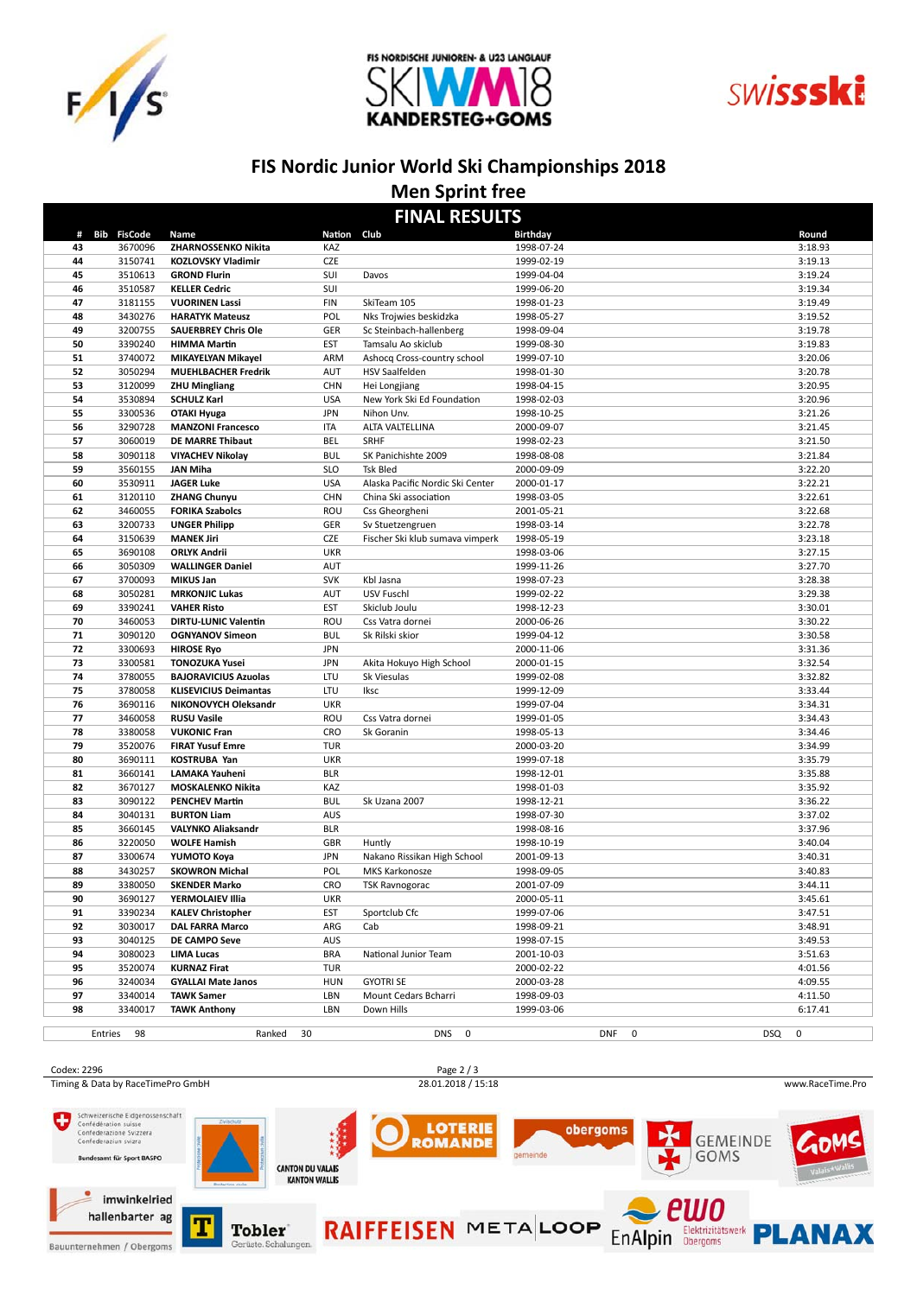





# **FIS Nordic Junior World Ski Championships 2018**

#### **Men Sprint free**

| <b>FINAL RESULTS</b> |                    |                                                    |             |                                  |                          |            |                    |
|----------------------|--------------------|----------------------------------------------------|-------------|----------------------------------|--------------------------|------------|--------------------|
|                      | # Bib FisCode      | Name                                               | Nation Club |                                  | <b>Birthday</b>          |            | Round              |
| 43                   | 3670096            | ZHARNOSSENKO Nikita                                | KAZ         |                                  | 1998-07-24               |            | 3:18.93            |
| 44                   | 3150741            | <b>KOZLOVSKY Vladimir</b>                          | CZE         |                                  | 1999-02-19               |            | 3:19.13            |
| 45                   | 3510613            | <b>GROND Flurin</b>                                | SUI         | Davos                            | 1999-04-04               |            | 3:19.24            |
| 46                   | 3510587            | <b>KELLER Cedric</b>                               | SUI         |                                  | 1999-06-20               |            | 3:19.34            |
| 47                   | 3181155            | <b>VUORINEN Lassi</b>                              | <b>FIN</b>  | SkiTeam 105                      | 1998-01-23               |            | 3:19.49            |
| 48                   | 3430276            | <b>HARATYK Mateusz</b>                             | POL         | Nks Trojwies beskidzka           | 1998-05-27               |            | 3:19.52            |
| 49                   | 3200755            | <b>SAUERBREY Chris Ole</b>                         | GER         | Sc Steinbach-hallenberg          | 1998-09-04               |            | 3:19.78            |
| 50                   | 3390240            | <b>HIMMA Martin</b>                                | <b>EST</b>  | Tamsalu Ao skiclub               | 1999-08-30               |            | 3:19.83            |
| 51                   | 3740072            | MIKAYELYAN Mikayel                                 | ARM         | Ashocq Cross-country school      | 1999-07-10               |            | 3:20.06            |
| 52                   | 3050294            | <b>MUEHLBACHER Fredrik</b>                         | AUT         | <b>HSV Saalfelden</b>            | 1998-01-30               |            | 3:20.78            |
| 53                   | 3120099            | <b>ZHU Mingliang</b>                               | <b>CHN</b>  | Hei Longjiang                    | 1998-04-15               |            | 3:20.95            |
| 54                   | 3530894            | <b>SCHULZ Karl</b>                                 | <b>USA</b>  | New York Ski Ed Foundation       | 1998-02-03               |            | 3:20.96            |
| 55                   | 3300536            | <b>OTAKI Hyuga</b>                                 | <b>JPN</b>  | Nihon Unv.                       | 1998-10-25               |            | 3:21.26            |
| 56                   | 3290728            | <b>MANZONI Francesco</b>                           | <b>ITA</b>  | ALTA VALTELLINA                  | 2000-09-07               |            | 3:21.45            |
| 57                   | 3060019            | <b>DE MARRE Thibaut</b>                            | BEL         | SRHF                             | 1998-02-23               |            | 3:21.50            |
| 58                   | 3090118            | <b>VIYACHEV Nikolay</b>                            | <b>BUL</b>  | SK Panichishte 2009              | 1998-08-08               |            | 3:21.84            |
| 59                   | 3560155            | <b>JAN Miha</b>                                    | <b>SLO</b>  | <b>Tsk Bled</b>                  | 2000-09-09               |            | 3:22.20            |
| 60                   | 3530911            | <b>JAGER Luke</b>                                  | <b>USA</b>  | Alaska Pacific Nordic Ski Center | 2000-01-17               |            | 3:22.21            |
| 61                   | 3120110            | <b>ZHANG Chunyu</b>                                | <b>CHN</b>  | China Ski association            | 1998-03-05               |            | 3:22.61            |
| 62                   | 3460055            | <b>FORIKA Szabolcs</b>                             | ROU         | Css Gheorgheni                   | 2001-05-21               |            | 3:22.68            |
| 63                   | 3200733            | <b>UNGER Philipp</b>                               | GER         | Sv Stuetzengruen                 | 1998-03-14               |            | 3:22.78            |
| 64                   | 3150639            | <b>MANEK Jiri</b>                                  | <b>CZE</b>  | Fischer Ski klub sumava vimperk  | 1998-05-19               |            | 3:23.18            |
| 65                   | 3690108            | <b>ORLYK Andrii</b>                                | <b>UKR</b>  |                                  | 1998-03-06               |            | 3:27.15            |
| 66                   | 3050309            | <b>WALLINGER Daniel</b>                            | AUT         |                                  | 1999-11-26               |            | 3:27.70            |
| 67                   | 3700093            | <b>MIKUS Jan</b>                                   | <b>SVK</b>  | Kbl Jasna                        | 1998-07-23               |            | 3:28.38            |
| 68                   | 3050281            | <b>MRKONJIC Lukas</b>                              | <b>AUT</b>  | USV Fuschl                       | 1999-02-22               |            | 3:29.38            |
| 69                   | 3390241            | <b>VAHER Risto</b>                                 | <b>EST</b>  | Skiclub Joulu                    | 1998-12-23               |            | 3:30.01            |
| 70                   | 3460053            | <b>DIRTU-LUNIC Valentin</b>                        | ROU         | Css Vatra dornei                 | 2000-06-26               |            | 3:30.22            |
| 71                   | 3090120            | <b>OGNYANOV Simeon</b>                             | <b>BUL</b>  | Sk Rilski skior                  | 1999-04-12               |            | 3:30.58            |
| 72                   | 3300693            | <b>HIROSE Ryo</b>                                  | <b>JPN</b>  |                                  | 2000-11-06               |            | 3:31.36            |
| 73                   | 3300581            | <b>TONOZUKA Yusei</b>                              | <b>JPN</b>  | Akita Hokuyo High School         | 2000-01-15               |            | 3:32.54            |
| 74                   | 3780055            | <b>BAJORAVICIUS Azuolas</b>                        | LTU         | Sk Viesulas                      | 1999-02-08               |            | 3:32.82            |
| 75                   | 3780058            | <b>KLISEVICIUS Deimantas</b>                       | LTU         | Iksc                             | 1999-12-09               |            | 3:33.44            |
| 76                   | 3690116            | NIKONOVYCH Oleksandr                               | <b>UKR</b>  |                                  | 1999-07-04               |            | 3:34.31            |
| 77                   | 3460058            | <b>RUSU Vasile</b>                                 | ROU         | Css Vatra dornei                 | 1999-01-05               |            | 3:34.43            |
| 78                   | 3380058            | <b>VUKONIC Fran</b>                                | <b>CRO</b>  | Sk Goranin                       | 1998-05-13               |            | 3:34.46            |
| 79                   | 3520076            | <b>FIRAT Yusuf Emre</b>                            | <b>TUR</b>  |                                  | 2000-03-20               |            | 3:34.99            |
| 80                   | 3690111            | <b>KOSTRUBA Yan</b>                                | <b>UKR</b>  |                                  | 1999-07-18               |            | 3:35.79            |
| 81                   | 3660141            | LAMAKA Yauheni                                     | <b>BLR</b>  |                                  | 1998-12-01               |            | 3:35.88            |
| 82                   | 3670127            | <b>MOSKALENKO Nikita</b>                           | KAZ         |                                  | 1998-01-03               |            | 3:35.92            |
| 83                   | 3090122            | <b>PENCHEV Martin</b>                              | <b>BUL</b>  | Sk Uzana 2007                    | 1998-12-21               |            | 3:36.22            |
| 84                   | 3040131            | <b>BURTON Liam</b>                                 | AUS         |                                  | 1998-07-30               |            | 3:37.02            |
| 85                   | 3660145            | <b>VALYNKO Aliaksandr</b>                          | <b>BLR</b>  |                                  | 1998-08-16               |            | 3:37.96            |
| 86                   | 3220050            | <b>WOLFE Hamish</b>                                | GBR         | Huntly                           | 1998-10-19               |            | 3:40.04            |
| 87                   | 3300674            | YUMOTO Koya                                        | <b>JPN</b>  | Nakano Rissikan High School      | 2001-09-13               |            | 3:40.31            |
| 88                   | 3430257            | <b>SKOWRON Michal</b>                              | POL         | MKS Karkonosze                   | 1998-09-05               |            | 3:40.83            |
| 89                   | 3380050            | <b>SKENDER Marko</b>                               | CRO         | <b>TSK Ravnogorac</b>            | 2001-07-09               |            | 3:44.11            |
| 90                   | 3690127            | YERMOLAIEV Illia                                   | <b>UKR</b>  |                                  | 2000-05-11               |            | 3:45.61            |
| 91<br>92             | 3390234<br>3030017 | <b>KALEV Christopher</b><br><b>DAL FARRA Marco</b> | EST<br>ARG  | Sportclub Cfc<br>Cab             | 1999-07-06<br>1998-09-21 |            | 3:47.51<br>3:48.91 |
| 93                   | 3040125            | DE CAMPO Seve                                      | AUS         |                                  | 1998-07-15               |            | 3:49.53            |
| 94                   | 3080023            | <b>LIMA Lucas</b>                                  | <b>BRA</b>  | National Junior Team             | 2001-10-03               |            | 3:51.63            |
| 95                   | 3520074            | <b>KURNAZ Firat</b>                                | <b>TUR</b>  |                                  | 2000-02-22               |            | 4:01.56            |
| 96                   | 3240034            | <b>GYALLAI Mate Janos</b>                          | <b>HUN</b>  | <b>GYOTRI SE</b>                 | 2000-03-28               |            | 4:09.55            |
| 97                   | 3340014            | <b>TAWK Samer</b>                                  | LBN         | Mount Cedars Bcharri             | 1998-09-03               |            | 4:11.50            |
| 98                   | 3340017            | <b>TAWK Anthony</b>                                | LBN         | Down Hills                       | 1999-03-06               |            | 6:17.41            |
|                      |                    |                                                    |             |                                  |                          |            |                    |
|                      | Entries 98         | Ranked 30                                          |             | DNS 0                            | DNF<br>0                 | <b>DSQ</b> | 0                  |